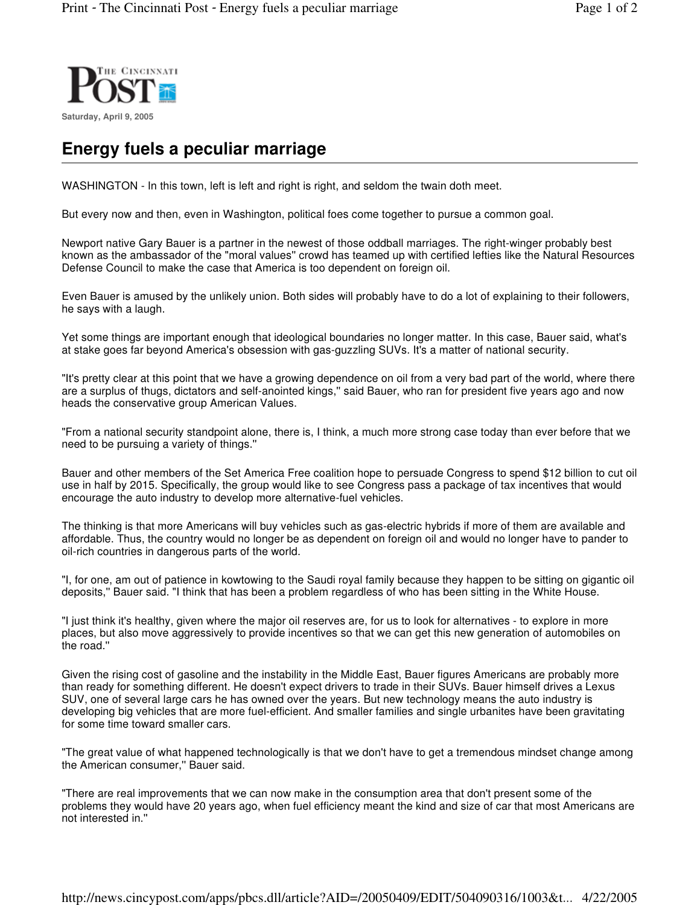

## **Energy fuels a peculiar marriage**

WASHINGTON - In this town, left is left and right is right, and seldom the twain doth meet.

But every now and then, even in Washington, political foes come together to pursue a common goal.

Newport native Gary Bauer is a partner in the newest of those oddball marriages. The right-winger probably best known as the ambassador of the "moral values'' crowd has teamed up with certified lefties like the Natural Resources Defense Council to make the case that America is too dependent on foreign oil.

Even Bauer is amused by the unlikely union. Both sides will probably have to do a lot of explaining to their followers, he says with a laugh.

Yet some things are important enough that ideological boundaries no longer matter. In this case, Bauer said, what's at stake goes far beyond America's obsession with gas-guzzling SUVs. It's a matter of national security.

"It's pretty clear at this point that we have a growing dependence on oil from a very bad part of the world, where there are a surplus of thugs, dictators and self-anointed kings,'' said Bauer, who ran for president five years ago and now heads the conservative group American Values.

"From a national security standpoint alone, there is, I think, a much more strong case today than ever before that we need to be pursuing a variety of things.''

Bauer and other members of the Set America Free coalition hope to persuade Congress to spend \$12 billion to cut oil use in half by 2015. Specifically, the group would like to see Congress pass a package of tax incentives that would encourage the auto industry to develop more alternative-fuel vehicles.

The thinking is that more Americans will buy vehicles such as gas-electric hybrids if more of them are available and affordable. Thus, the country would no longer be as dependent on foreign oil and would no longer have to pander to oil-rich countries in dangerous parts of the world.

"I, for one, am out of patience in kowtowing to the Saudi royal family because they happen to be sitting on gigantic oil deposits,'' Bauer said. "I think that has been a problem regardless of who has been sitting in the White House.

"I just think it's healthy, given where the major oil reserves are, for us to look for alternatives - to explore in more places, but also move aggressively to provide incentives so that we can get this new generation of automobiles on the road.''

Given the rising cost of gasoline and the instability in the Middle East, Bauer figures Americans are probably more than ready for something different. He doesn't expect drivers to trade in their SUVs. Bauer himself drives a Lexus SUV, one of several large cars he has owned over the years. But new technology means the auto industry is developing big vehicles that are more fuel-efficient. And smaller families and single urbanites have been gravitating for some time toward smaller cars.

"The great value of what happened technologically is that we don't have to get a tremendous mindset change among the American consumer,'' Bauer said.

"There are real improvements that we can now make in the consumption area that don't present some of the problems they would have 20 years ago, when fuel efficiency meant the kind and size of car that most Americans are not interested in.''